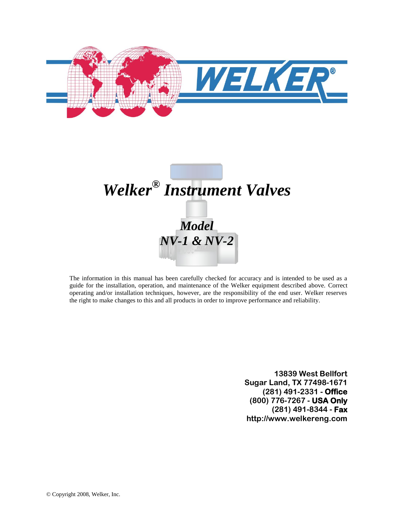



The information in this manual has been carefully checked for accuracy and is intended to be used as a guide for the installation, operation, and maintenance of the Welker equipment described above. Correct operating and/or installation techniques, however, are the responsibility of the end user. Welker reserves the right to make changes to this and all products in order to improve performance and reliability.

> **13839 West Bellfort Sugar Land, TX 77498-1671 (281) 491-2331 - Office (800) 776-7267 - USA Only (281) 491-8344 - Fax http://www.welkereng.com**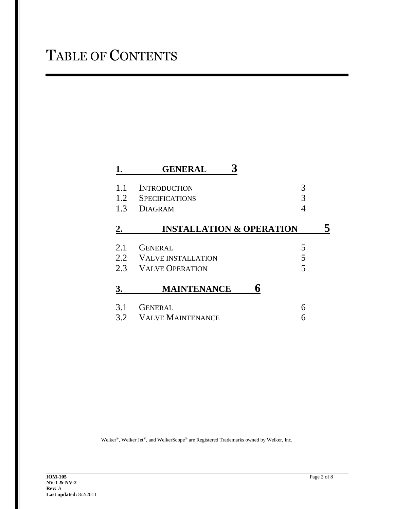|     | <b>GENERAL</b>                      |   |
|-----|-------------------------------------|---|
| 1.1 | <b>INTRODUCTION</b>                 | 3 |
| 1.2 | <b>SPECIFICATIONS</b>               | 3 |
| 1.3 | <b>DIAGRAM</b>                      | 4 |
| 2.  | <b>INSTALLATION &amp; OPERATION</b> |   |
| 2.1 | <b>GENERAL</b>                      | 5 |
| 2.2 | <b>VALVE INSTALLATION</b>           | 5 |
| 2.3 | <b>VALVE OPERATION</b>              | 5 |
| 3.  | <b>MAINTENANCE</b>                  |   |
| 3.1 | <b>GENERAL</b>                      | 6 |
| 3.2 | <b>VALVE MAINTENANCE</b>            |   |

Welker®, Welker Jet®, and WelkerScope® are Registered Trademarks owned by Welker, Inc.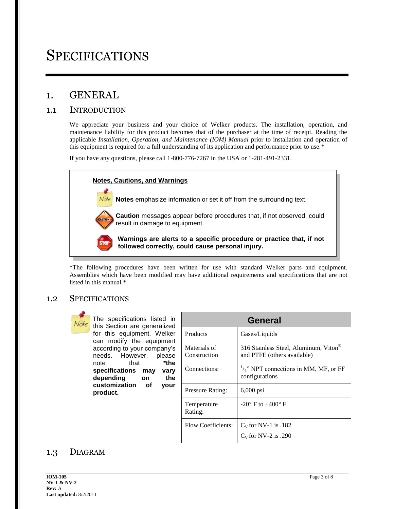## **SPECIFICATIONS**

### 1. GENERAL

#### 1.1 INTRODUCTION

We appreciate your business and your choice of Welker products. The installation, operation, and maintenance liability for this product becomes that of the purchaser at the time of receipt. Reading the applicable *Installation, Operation, and Maintenance (IOM) Manual* prior to installation and operation of this equipment is required for a full understanding of its application and performance prior to use.\*

If you have any questions, please call 1-800-776-7267 in the USA or 1-281-491-2331.



\*The following procedures have been written for use with standard Welker parts and equipment. Assemblies which have been modified may have additional requirements and specifications that are not listed in this manual.\*

#### 1.2 SPECIFICATIONS



The specifications listed in this Section are generalized for this equipment. Welker can modify the equipment according to your company's needs. However, please note that **\*the specifications may vary depending on the customization of your product.**

| General                      |                                                                      |  |  |
|------------------------------|----------------------------------------------------------------------|--|--|
| Products                     | Gases/Liquids                                                        |  |  |
| Materials of<br>Construction | 316 Stainless Steel, Aluminum, Viton®<br>and PTFE (others available) |  |  |
| Connections:                 | $\frac{1}{4}$ " NPT connections in MM, MF, or FF<br>configurations   |  |  |
| Pressure Rating:             | $6,000$ psi                                                          |  |  |
| Temperature<br>Rating:       | $-20^{\circ}$ F to $+400^{\circ}$ F                                  |  |  |
| Flow Coefficients:           | $C_V$ for NV-1 is .182                                               |  |  |
|                              | $C_V$ for NV-2 is .290                                               |  |  |

#### 1.3 DIAGRAM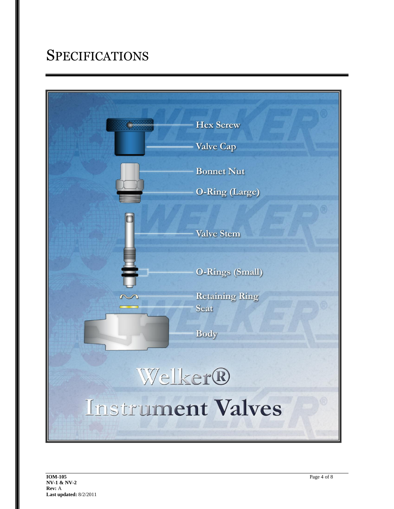# **SPECIFICATIONS**

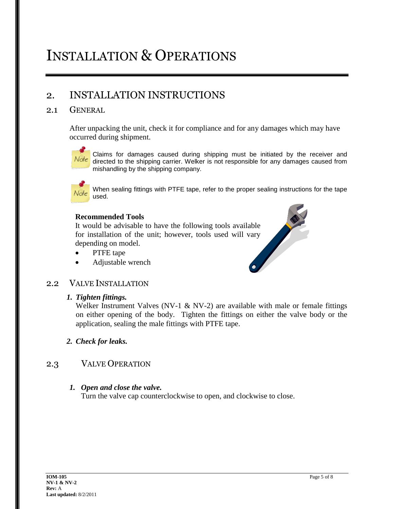# INSTALLATION & OPERATIONS

### 2. INSTALLATION INSTRUCTIONS

#### 2.1 GENERAL

After unpacking the unit, check it for compliance and for any damages which may have occurred during shipment.



Claims for damages caused during shipping must be initiated by the receiver and directed to the shipping carrier. Welker is not responsible for any damages caused from mishandling by the shipping company.



When sealing fittings with PTFE tape, refer to the proper sealing instructions for the tape used.

#### **Recommended Tools**

It would be advisable to have the following tools available for installation of the unit; however, tools used will vary depending on model.

- PTFE tape
- Adjustable wrench



#### 2.2 VALVE INSTALLATION

#### *1. Tighten fittings.*

Welker Instrument Valves (NV-1  $\&$  NV-2) are available with male or female fittings on either opening of the body. Tighten the fittings on either the valve body or the application, sealing the male fittings with PTFE tape.

*2. Check for leaks.*

#### 2.3 VALVE OPERATION

#### *1. Open and close the valve.*

Turn the valve cap counterclockwise to open, and clockwise to close.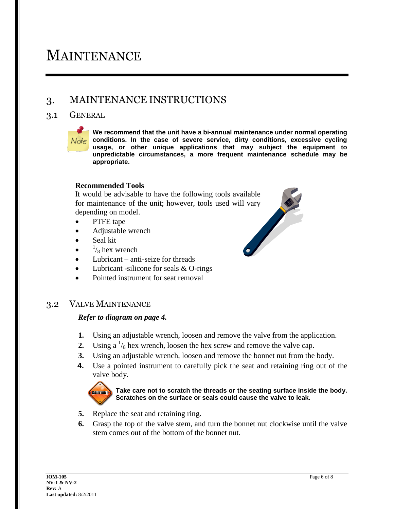## MAINTENANCE

### 3. MAINTENANCE INSTRUCTIONS

#### 3.1 GENERAL



**We recommend that the unit have a bi-annual maintenance under normal operating**  Note conditions. In the case of severe service, dirty conditions, excessive cycling **usage, or other unique applications that may subject the equipment to unpredictable circumstances, a more frequent maintenance schedule may be appropriate.**

#### **Recommended Tools**

It would be advisable to have the following tools available for maintenance of the unit; however, tools used will vary<br>depending on model.<br>• PTFE tape<br>• Adjustable wrench<br>• Seal kit<br>•  $\frac{1}{8}$  hex wrench<br>• T depending on model.

- PTFE tape
- Adjustable wrench
- Seal kit
- $\bullet$  $\frac{1}{8}$  hex wrench
- Lubricant anti-seize for threads
- Lubricant -silicone for seals & O-rings
- Pointed instrument for seat removal

#### 3.2 VALVE MAINTENANCE

#### *Refer to diagram on page 4.*

- **1.** Using an adjustable wrench, loosen and remove the valve from the application.
- **2.** Using a  $\frac{1}{8}$  hex wrench, loosen the hex screw and remove the valve cap.
- **3.** Using an adjustable wrench, loosen and remove the bonnet nut from the body.
- **4.** Use a pointed instrument to carefully pick the seat and retaining ring out of the valve body.



**Take care not to scratch the threads or the seating surface inside the body. Scratches on the surface or seals could cause the valve to leak.**

- **5.** Replace the seat and retaining ring.
- **6.** Grasp the top of the valve stem, and turn the bonnet nut clockwise until the valve stem comes out of the bottom of the bonnet nut.

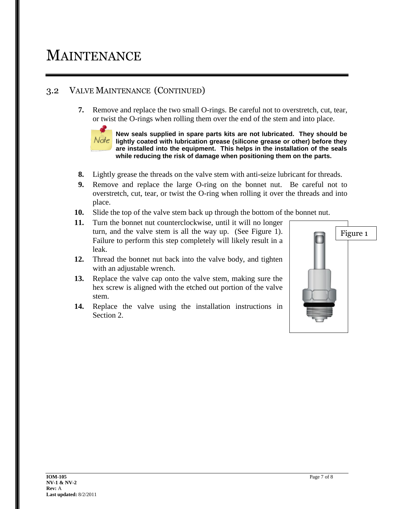## MAINTENANCE

### 3.2 VALVE MAINTENANCE (CONTINUED)

**7.** Remove and replace the two small O-rings. Be careful not to overstretch, cut, tear, or twist the O-rings when rolling them over the end of the stem and into place.



**New seals supplied in spare parts kits are not lubricated. They should be lightly coated with lubrication grease (silicone grease or other) before they are installed into the equipment. This helps in the installation of the seals while reducing the risk of damage when positioning them on the parts.** 

- **8.** Lightly grease the threads on the valve stem with anti-seize lubricant for threads.
- **9.** Remove and replace the large O-ring on the bonnet nut. Be careful not to overstretch, cut, tear, or twist the O-ring when rolling it over the threads and into place.
- **10.** Slide the top of the valve stem back up through the bottom of the bonnet nut.
- **11.** Turn the bonnet nut counterclockwise, until it will no longer turn, and the valve stem is all the way up. (See Figure 1). Failure to perform this step completely will likely result in a leak.
- **12.** Thread the bonnet nut back into the valve body, and tighten with an adjustable wrench.
- **13.** Replace the valve cap onto the valve stem, making sure the hex screw is aligned with the etched out portion of the valve stem.
- **14.** Replace the valve using the installation instructions in Section 2.